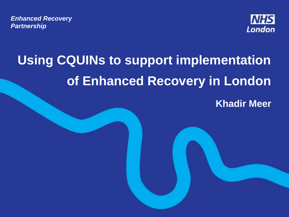*Enhanced Recovery Partnership* 



# **Using CQUINs to support implementation of Enhanced Recovery in London**

**Khadir Meer**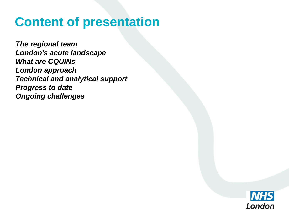### **Content of presentation**

*The regional team London's acute landscape What are CQUINs London approach Technical and analytical support Progress to date Ongoing challenges*

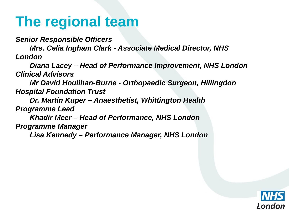## **The regional team**

*Senior Responsible Officers*

*Mrs. Celia Ingham Clark - Associate Medical Director, NHS London*

*Diana Lacey – Head of Performance Improvement, NHS London Clinical Advisors*

*Mr David Houlihan-Burne - Orthopaedic Surgeon, Hillingdon Hospital Foundation Trust* 

*Dr. Martin Kuper – Anaesthetist, Whittington Health Programme Lead*

*Khadir Meer – Head of Performance, NHS London Programme Manager*

*Lisa Kennedy – Performance Manager, NHS London* 

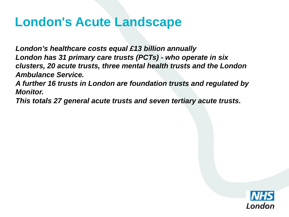### **London's Acute Landscape**

*London's healthcare costs equal £13 billion annually London has 31 primary care trusts (PCTs) - who operate in six clusters, 20 acute trusts, three mental health trusts and the London Ambulance Service.* 

*A further 16 trusts in London are foundation trusts and regulated by Monitor.*

*This totals 27 general acute trusts and seven tertiary acute trusts.* 

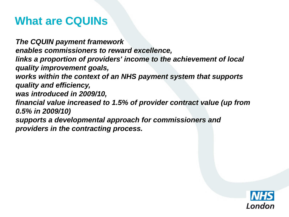### **What are CQUINs**

*The CQUIN payment framework enables commissioners to reward excellence, links a proportion of providers' income to the achievement of local quality improvement goals, works within the context of an NHS payment system that supports quality and efficiency, was introduced in 2009/10, financial value increased to 1.5% of provider contract value (up from 0.5% in 2009/10) supports a developmental approach for commissioners and providers in the contracting process.* 

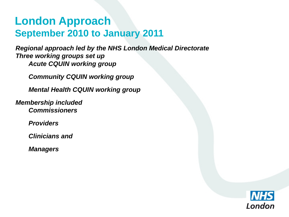### **London Approach September 2010 to January 2011**

*Regional approach led by the NHS London Medical Directorate Three working groups set up Acute CQUIN working group*

*Community CQUIN working group*

*Mental Health CQUIN working group*

*Membership included Commissioners*

*Providers*

*Clinicians and*

*Managers*

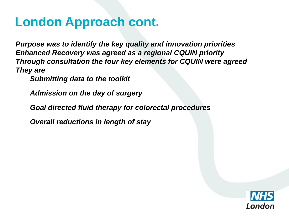### **London Approach cont.**

*Purpose was to identify the key quality and innovation priorities Enhanced Recovery was agreed as a regional CQUIN priority Through consultation the four key elements for CQUIN were agreed They are* 

*Submitting data to the toolkit*

*Admission on the day of surgery*

*Goal directed fluid therapy for colorectal procedures* 

*Overall reductions in length of stay* 

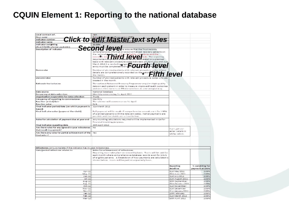#### CQUIN Element 1: Reporting to the national database

| Local contract ref.                                                | Click to edit Master text styles                                                                                                                                                                                               |                                   |                 |
|--------------------------------------------------------------------|--------------------------------------------------------------------------------------------------------------------------------------------------------------------------------------------------------------------------------|-----------------------------------|-----------------|
| Goal name                                                          |                                                                                                                                                                                                                                |                                   |                 |
| Indicator number                                                   |                                                                                                                                                                                                                                |                                   |                 |
| Indicator name                                                     |                                                                                                                                                                                                                                |                                   |                 |
| Indicator weighting                                                |                                                                                                                                                                                                                                |                                   |                 |
| (% of CQUIN scheme available)                                      | Second level.                                                                                                                                                                                                                  |                                   |                 |
| Description of indicator                                           | ensure that the Trustrecords                                                                                                                                                                                                   |                                   |                 |
|                                                                    | out enhanced recovery patients on                                                                                                                                                                                              |                                   |                 |
|                                                                    | the national attribute and of ligible programes and the disposition of the disposition of the disposition of the straight of the straight of the straight of the straight of the straight of the straight of the straight of t |                                   |                 |
|                                                                    |                                                                                                                                                                                                                                |                                   |                 |
|                                                                    |                                                                                                                                                                                                                                |                                   |                 |
|                                                                    | basis with relevant procedure codes between 1st April                                                                                                                                                                          |                                   |                 |
|                                                                    | March 2012 (i.e. excluding risen Taro Latin Latin Co                                                                                                                                                                           |                                   |                 |
|                                                                    |                                                                                                                                                                                                                                |                                   |                 |
| Numerator                                                          | Number of planned patients with relevant procedure                                                                                                                                                                             |                                   |                 |
|                                                                    | details are comprehensively recorded on the nation                                                                                                                                                                             | level                             |                 |
|                                                                    | the month.                                                                                                                                                                                                                     |                                   |                 |
| Denominator                                                        | Number of planned patients with relevant procedure codes who are                                                                                                                                                               |                                   |                 |
|                                                                    | treated in the month.                                                                                                                                                                                                          |                                   |                 |
| <b>Rationale for inclusion</b>                                     | The national Enhanced Recovery Programme requires high quality.                                                                                                                                                                |                                   |                 |
|                                                                    | data on each patient in order to measure improved health outcomes                                                                                                                                                              |                                   |                 |
|                                                                    | and cost effectiveness of ER interventions in a meaningful way.                                                                                                                                                                |                                   |                 |
| Data source                                                        | National Database                                                                                                                                                                                                              |                                   |                 |
| Frequency of data collection.                                      | Monthly commencing 1st April 2011                                                                                                                                                                                              |                                   |                 |
| Organisation responsible for data collection                       | <b>Trusts</b>                                                                                                                                                                                                                  |                                   |                 |
| Frequency of reporting to commissioner                             | Monthly                                                                                                                                                                                                                        |                                   |                 |
| <b>Baseline period/date</b>                                        | The scheme will commence on 1st April                                                                                                                                                                                          |                                   |                 |
| <b>Baseline willie</b>                                             | N/A                                                                                                                                                                                                                            |                                   |                 |
| Final indicator period/date (on which payment is                   | 31stMarch 2012                                                                                                                                                                                                                 |                                   |                 |
| based)                                                             |                                                                                                                                                                                                                                |                                   |                 |
| Final indicator value (payment threshold)                          | Full payment will be made if comprehensive records exist for ≥95%.                                                                                                                                                             |                                   |                 |
|                                                                    | of planned patients with the relevant codes. Partial payments are                                                                                                                                                              |                                   |                 |
|                                                                    | possible and thresholds are set out below.                                                                                                                                                                                     |                                   |                 |
| Rules for calculation of payment due at year end                   | Any rounding calculations required will be implemented in Q4 for                                                                                                                                                               |                                   |                 |
|                                                                    | financial invoicing purposes.                                                                                                                                                                                                  |                                   |                 |
| <b>Final indicator reporting date</b>                              | 30th April 2012                                                                                                                                                                                                                |                                   |                 |
| Are there rules for any agreed in-year milestones                  | <b>No</b>                                                                                                                                                                                                                      |                                   |                 |
| that result in payment?                                            |                                                                                                                                                                                                                                | If you, please                    |                 |
| Are there any rules for partial achievement of the                 | <b>Yes</b>                                                                                                                                                                                                                     | enter details in<br>tables below. |                 |
| final value?                                                       |                                                                                                                                                                                                                                |                                   |                 |
|                                                                    |                                                                                                                                                                                                                                |                                   |                 |
|                                                                    |                                                                                                                                                                                                                                |                                   |                 |
|                                                                    |                                                                                                                                                                                                                                |                                   |                 |
|                                                                    |                                                                                                                                                                                                                                |                                   |                 |
| Milestones (only complete if the indicator has in-year milestones) |                                                                                                                                                                                                                                |                                   |                 |
| Date/period milestone relates to                                   | Rules for achievement of milestones                                                                                                                                                                                            |                                   |                 |
|                                                                    | Reporting must take place on a monthlybasis. Trusts will be paid for                                                                                                                                                           |                                   |                 |
|                                                                    | each month where comprehensive database records exist for 2 95%                                                                                                                                                                |                                   |                 |
|                                                                    | of eligible patients. A breakdown of how payments are calculated is                                                                                                                                                            |                                   |                 |
|                                                                    | shown below. Trusts will be paid on a quarterly basis.                                                                                                                                                                         |                                   |                 |
|                                                                    |                                                                                                                                                                                                                                |                                   |                 |
|                                                                    |                                                                                                                                                                                                                                | <b>Reporting</b>                  | % weighting for |
|                                                                    |                                                                                                                                                                                                                                | deadline                          | payment at 100% |
| $Apr-11$                                                           |                                                                                                                                                                                                                                | 31st May 2011                     | 2.08%           |
| Miry 11                                                            |                                                                                                                                                                                                                                | 30th June 2011                    | 2.08%           |
| $J$ un - $11$                                                      |                                                                                                                                                                                                                                | 31st July 2011                    | 2.08%           |
| $Jul-11$                                                           |                                                                                                                                                                                                                                | 31st August 2011                  | 2.08%           |
| $A \cup Z - 11$                                                    |                                                                                                                                                                                                                                | 30th September                    | 2.08%           |
| Sep 11                                                             |                                                                                                                                                                                                                                | 30th October 2011                 | 2.08%           |
| $Oct-11$                                                           |                                                                                                                                                                                                                                | 31st November                     | 2.08%           |
| $Nov-11$                                                           |                                                                                                                                                                                                                                | 31st December                     | 2.08%           |
| $Der-11$                                                           |                                                                                                                                                                                                                                | 31st Tanuary 2012                 | 2.08%           |
| $Jan-12$                                                           |                                                                                                                                                                                                                                | 20th I ebruary                    | 2.08%           |
| $r$ eb-12                                                          |                                                                                                                                                                                                                                | 31st March 2012                   | 2.08%           |
| $Mar-12$                                                           |                                                                                                                                                                                                                                | 30th April 2012                   | 2.08%           |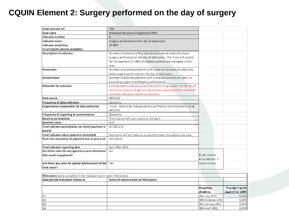#### CQUIN Element 2: Surgery performed on the day of surgery

| Local contract ref.                                                | <b>TBA</b>                                                         |                   |                 |
|--------------------------------------------------------------------|--------------------------------------------------------------------|-------------------|-----------------|
| Goal name                                                          | Enhanced Recovery Programme (ERP)                                  |                   |                 |
| Indicator number                                                   | b                                                                  |                   |                 |
| Indicator name                                                     | Surgery performed on the day of admission                          |                   |                 |
| Indicator weighting                                                | 25.00%                                                             |                   |                 |
| (% of CQUIN scheme available)                                      |                                                                    |                   |                 |
| Description of indicator                                           | Number of patients with a relevant procedure code who have         |                   |                 |
|                                                                    |                                                                    |                   |                 |
|                                                                    | surgery performed on the day of admission. The Trust will qualify  |                   |                 |
|                                                                    | for full payment if ≥ 80% of eligible patients are managed in this |                   |                 |
|                                                                    | way.                                                               |                   |                 |
| Numerator                                                          | Number of planned patients with a relevant procedure code who      |                   |                 |
|                                                                    | have surgery performed on the day of admission.                    |                   |                 |
| Denominator                                                        | Number of planned patients with a relevant procedure code (i.e.    |                   |                 |
|                                                                    | excluding urgent or emergency admissions)                          |                   |                 |
| Rationale for inclusion                                            | Considerable evidence exists that performing surgery on the day of |                   |                 |
|                                                                    | admission reduces length of stay without adverse effects on health |                   |                 |
|                                                                    | outcomes and post-operative recovery.                              |                   |                 |
| Data source                                                        | HES/SUS                                                            |                   |                 |
| Frequency of data collection                                       | Quarterly                                                          |                   |                 |
| Organisation responsible for data collection                       | Trusts. Data to be independently verified by commissioners using   |                   |                 |
|                                                                    | HFS/SUS.                                                           |                   |                 |
| <b>Frequency of reporting to commissioner</b>                      | Quarterly                                                          |                   |                 |
| Baseline period/date                                               | The scheme will commence on 1st April.                             |                   |                 |
| Baseline value                                                     | N/A                                                                |                   |                 |
| Final indicator period/date (on which payment is                   | Q4 2011/12                                                         |                   |                 |
| based)                                                             |                                                                    |                   |                 |
| Final indicator value (payment threshold)                          | Payments will be made on a quarterly basis throughout the year.    |                   |                 |
| Rules for calculation of payment due at year end                   | See above.                                                         |                   |                 |
|                                                                    |                                                                    |                   |                 |
| Final indicator reporting date                                     | April 30th 2012                                                    |                   |                 |
| Are there rules for any agreed in-year milestones                  | No                                                                 |                   |                 |
| that result in payment?                                            |                                                                    | If yes, please    |                 |
|                                                                    |                                                                    | enter details in  |                 |
| Are there any rules for partial achievement of the                 | Yes.                                                               | lables below.     |                 |
| final value?                                                       |                                                                    |                   |                 |
|                                                                    |                                                                    |                   |                 |
| Milestones (only complete if the indicator has in-year milestones) |                                                                    |                   |                 |
|                                                                    |                                                                    |                   |                 |
| Date/period milestone relates to                                   | Rules for achievement of milestones                                |                   |                 |
|                                                                    |                                                                    |                   |                 |
|                                                                    |                                                                    | Reporting         | % weighting for |
|                                                                    |                                                                    | deadline          | payment at 100% |
| Q1                                                                 |                                                                    | 31st July 2011    | 6.25%           |
| Q2                                                                 |                                                                    | 30th October 2011 | 6.25%           |
| QЗ                                                                 |                                                                    | 31st January 2012 | 6.25%           |
| Q4                                                                 |                                                                    | 30th April 2012   | 6.25%           |
|                                                                    |                                                                    |                   |                 |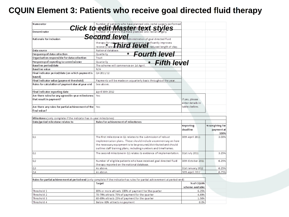#### CQUIN Element 3: Patients who receive goal directed fluid therapy

| Numerator                                                          | Click to Number of patients who have planned colo-rectal surgery performed                                                   |                   |                 |
|--------------------------------------------------------------------|------------------------------------------------------------------------------------------------------------------------------|-------------------|-----------------|
| <b>Denominator</b>                                                 |                                                                                                                              |                   |                 |
|                                                                    |                                                                                                                              |                   |                 |
| Rationale for inclusion                                            | Second Level in the diministration of goal directed fluid                                                                    |                   |                 |
|                                                                    | therapy for color rectal surgery patients significantly improves<br>recovery rates and LLKQr dClViCD reduced length of stay. |                   |                 |
|                                                                    |                                                                                                                              |                   |                 |
| Data source                                                        | National database.                                                                                                           |                   |                 |
| Frequency of data collection                                       | <b>Fourth level</b><br>Quarterly                                                                                             |                   |                 |
| Organisation responsible for data collection                       | Trust                                                                                                                        |                   |                 |
| Frequency of reporting to commissioner                             | Fifth level<br>Quarterly                                                                                                     |                   |                 |
| Baseline period/date                                               | The scheme will commence on 1st April.                                                                                       |                   |                 |
| Baseline value                                                     | N/A                                                                                                                          |                   |                 |
| Final indicator period/date (on which payment is                   | Q4 2011/12                                                                                                                   |                   |                 |
| based)                                                             |                                                                                                                              |                   |                 |
| Final indicator value (payment threshold)                          | Payments will be made on a quarterly basis throughout the year.                                                              |                   |                 |
| Rules for calculation of payment due at year end                   | See above.                                                                                                                   |                   |                 |
| Final indicator reporting date                                     | April 30th 2012                                                                                                              |                   |                 |
| Are there rules for any agreed in-year milestones                  | Yes                                                                                                                          |                   |                 |
| that result in payment?                                            |                                                                                                                              | If yes, please    |                 |
|                                                                    |                                                                                                                              | enter details in  |                 |
| Are there any rules for partial achievement of the Yes             |                                                                                                                              | tables below.     |                 |
| final value?                                                       |                                                                                                                              |                   |                 |
|                                                                    |                                                                                                                              |                   |                 |
| Milestones (only complete if the indicator has in-year milestones) |                                                                                                                              |                   |                 |
| Date/period milestone relates to                                   | Rules for achievement of milestones                                                                                          |                   |                 |
|                                                                    |                                                                                                                              | <b>Reporting</b>  | % weighting for |
|                                                                    |                                                                                                                              | deadline          | payment at      |
|                                                                    |                                                                                                                              |                   | 100%            |
| Q1                                                                 | The first milestone in Q1 relates to the submission of robust                                                                | 30th April 2011   | 3.00%           |
|                                                                    | implementation plans. These should indude a commentary on how-                                                               |                   |                 |
|                                                                    | the necessary equipment is to be procured/distributed and should                                                             |                   |                 |
|                                                                    | outline staff training plans, including numbers and timeframes.                                                              |                   |                 |
| Q <sub>1</sub>                                                     | The second milestone in Q1 relates to evidence of implementation.                                                            | 31st July 2011    | 3.25%           |
| Q <sub>2</sub>                                                     | Number of eligible patients who have received goal directed fluid                                                            | 30th October 2011 | 6.25%           |
|                                                                    | therapy reported on the national database.                                                                                   |                   |                 |
| Q3                                                                 | As above.                                                                                                                    | 31st January 2012 | 6.25%           |
| 04                                                                 | As above.                                                                                                                    | 30th April 2012   | 6.25%           |
|                                                                    |                                                                                                                              |                   |                 |
|                                                                    | Rules for partial achievement at period-end (only complete if the indicator has rules for partial achievement at period-end) |                   |                 |
|                                                                    | Target                                                                                                                       | % of CQUIN        |                 |
|                                                                    |                                                                                                                              | scheme available  |                 |
| Threshold 1                                                        | 80% or more attracts 100% of payment for the quarter                                                                         | 6.25%             |                 |
| Threshold 2                                                        |                                                                                                                              |                   |                 |
|                                                                    |                                                                                                                              |                   |                 |
|                                                                    | 70-79% attracts 75% of payment for the quarter                                                                               | 4.69%             |                 |
| Threshold 3<br>Threshold 4                                         | 60-69% attracts 25% of payment for the quarter<br>Below 60% attracts no payment                                              | 1.56%<br>0.0%     |                 |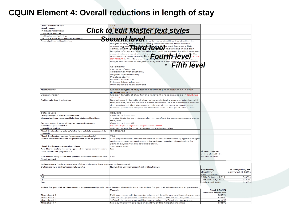#### **CQUIN Element 4: Overall reductions in length of stay**

| Local contract ref.                                                | <b>TBA</b>                                                                                                               |                   |                 |
|--------------------------------------------------------------------|--------------------------------------------------------------------------------------------------------------------------|-------------------|-----------------|
| Goal name                                                          |                                                                                                                          |                   |                 |
| Indicator number                                                   | Click to edit Master text styles                                                                                         |                   |                 |
|                                                                    |                                                                                                                          |                   |                 |
| Indicator name                                                     |                                                                                                                          |                   |                 |
| Indicator weighting                                                |                                                                                                                          |                   |                 |
| (% of CQUIN scheme available)                                      | <del>Second level</del>                                                                                                  |                   |                 |
| Description of indicator                                           | to achieve a significant reduction in                                                                                    |                   |                 |
|                                                                    | length of stay for p<br>lents being treated by the Trust whose                                                           |                   |                 |
|                                                                    | procedure coor to find the covery list.                                                                                  |                   |                 |
|                                                                    |                                                                                                                          |                   |                 |
|                                                                    | lengths of stay and the<br>reduction will be agreed locally between                                                      |                   |                 |
|                                                                    | commissioners and providers.                                                                                             |                   |                 |
|                                                                    |                                                                                                                          |                   |                 |
|                                                                    | commissioners and providers. For any property of the UCL the                                                             |                   |                 |
|                                                                    | Target reductions in length of stay for the following a procedures:                                                      |                   |                 |
|                                                                    |                                                                                                                          |                   |                 |
|                                                                    | Colectomy                                                                                                                |                   |                 |
|                                                                    | Excision of rectum                                                                                                       |                   |                 |
|                                                                    |                                                                                                                          |                   |                 |
|                                                                    | Abdominal hysterectomy                                                                                                   |                   |                 |
|                                                                    | Vaginal hysterectomy                                                                                                     |                   |                 |
|                                                                    | Prostatectomy                                                                                                            |                   |                 |
|                                                                    | <b>Blackfort researchers</b>                                                                                             |                   |                 |
|                                                                    | Primary hip replacement                                                                                                  |                   |                 |
|                                                                    | Primary knee replacement                                                                                                 |                   |                 |
|                                                                    |                                                                                                                          |                   |                 |
| Numerator                                                          | Median length of stay for the relevant procedure code in each.                                                           |                   |                 |
|                                                                    | quarter 2011/12                                                                                                          |                   |                 |
| Denominator                                                        | Median length of stay for the relevant procedure code in Q1 & Q2                                                         |                   |                 |
|                                                                    | 2010-11.                                                                                                                 |                   |                 |
| Rationale for inclusion                                            | Reductions in length of stay, where clinically appropriate, benefit                                                      |                   |                 |
|                                                                    | the patient, the Trust and Commissioners. It has now been clearly                                                        |                   |                 |
|                                                                    | demonstrated that rigourous enhanced recovery programmes.                                                                |                   |                 |
|                                                                    | have a significant impact on the duration of hospital admissions.                                                        |                   |                 |
|                                                                    |                                                                                                                          |                   |                 |
| Data source                                                        | TIES/SUS                                                                                                                 |                   |                 |
|                                                                    |                                                                                                                          |                   |                 |
| <b>Frequency of data collection</b>                                | Quarterly from Q2                                                                                                        |                   |                 |
| Organisation responsible for data collection                       | Trusts. Data to be independently verified by commissioners using                                                         |                   |                 |
|                                                                    | HES/SUS.                                                                                                                 |                   |                 |
| Frequency of reporting to commissioner                             | Quarterly from Q2                                                                                                        |                   |                 |
| <b>Baseline period/date</b>                                        | Q1 and Q2 for April to September 2010                                                                                    |                   |                 |
| Baseline value                                                     | Median waits for the relevant procedure codes                                                                            |                   |                 |
| Final indicator period/date (on which payment is                   | Q42011/12                                                                                                                |                   |                 |
| based)                                                             |                                                                                                                          |                   |                 |
| Final Indicator value (payment threshold)                          | <b>TBA</b>                                                                                                               |                   |                 |
| Rules for calculation of payment due at year end                   | I uil payment will be made where 100% of the locally agreed target                                                       |                   |                 |
|                                                                    | reductions in LOS reductions have been made. Thresholds for                                                              |                   |                 |
|                                                                    | partial payments are set out below.                                                                                      |                   |                 |
| Final indicator reporting date                                     | 31st May 2012                                                                                                            |                   |                 |
| Are there rules for any agreed in year milestones                  | No                                                                                                                       |                   |                 |
| that result in payment?                                            |                                                                                                                          | If yes, please    |                 |
|                                                                    |                                                                                                                          | enter details in  |                 |
|                                                                    |                                                                                                                          |                   |                 |
| Are there any rules for partial achievement of the                 | <b>Yes</b>                                                                                                               | tables below.     |                 |
| final value?                                                       |                                                                                                                          |                   |                 |
|                                                                    |                                                                                                                          |                   |                 |
| Milestones (only complete if the indicator has in-year milestones) |                                                                                                                          |                   |                 |
| Date/period milestone relates to                                   | Rules for achievement of milestones                                                                                      |                   |                 |
|                                                                    |                                                                                                                          | <b>Reporting</b>  | % weighting for |
|                                                                    |                                                                                                                          | deadline          | payment at 100% |
| $\Omega$ 1                                                         |                                                                                                                          | Not regulaced.    |                 |
| $\Omega$                                                           |                                                                                                                          | 30th October 2011 | 8.33%           |
| Q3                                                                 |                                                                                                                          | 31st January 2012 | 8.33%           |
| Q <sub>4</sub>                                                     |                                                                                                                          | 30th April 2012   | 8.33%           |
|                                                                    |                                                                                                                          |                   |                 |
|                                                                    | Rules for partial achievement at year-end (only complete if the indicator has rules for partial adhievement at year-end) |                   |                 |
|                                                                    | Target                                                                                                                   | % of COUIN        |                 |
|                                                                    |                                                                                                                          | scheme available  |                 |
| Threshold 1                                                        | Full payment will be made where all locally agreed targets are met                                                       | 8.33%             |                 |
| Threshold 2                                                        | 75% of the payment will be made where 75% of the targets are                                                             | 6.25%             |                 |
| Threshold 3                                                        | 50% of the payment will be made where 50% of the targets are                                                             | 4.17%             |                 |
| Threshold 4                                                        | No payment where less than 50% of the targets are met                                                                    | 0.00%             |                 |
|                                                                    |                                                                                                                          |                   |                 |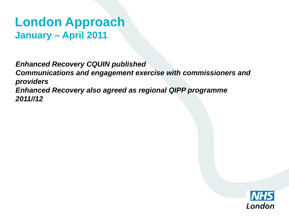### **London Approach January – April 2011**

*Enhanced Recovery CQUIN published Communications and engagement exercise with commissioners and providers Enhanced Recovery also agreed as regional QIPP programme 2011//12*

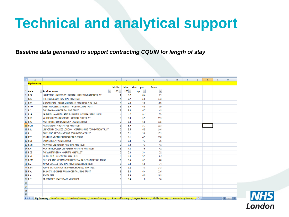## **Technical and analytical support**

*Baseline data generated to support contracting CQUIN for length of stay* 

|    | А             | B                                                                                | с                 | D       | ь              |                 | G | н |                      |     | ĸ | M                               |  |
|----|---------------|----------------------------------------------------------------------------------|-------------------|---------|----------------|-----------------|---|---|----------------------|-----|---|---------------------------------|--|
|    | 1 Hip Summary |                                                                                  |                   |         |                |                 |   |   |                      |     |   |                                 |  |
|    |               |                                                                                  | Median            | Mean    | Mean post      | Cases           |   |   |                      |     |   |                                 |  |
|    | 2 Code        | V<br>v Provider Name                                                             | 10S <sub>x</sub>  | $105 -$ | E<br>np        | ×               |   |   |                      |     |   |                                 |  |
|    | 3 ROX         | HOMERTON UNIVERSITY HOSPITAL NHS FOUNDATION TRUST                                |                   | 8.7     | 8.4            | 21              |   |   |                      |     |   |                                 |  |
|    | 4 RAS         | THE HILLINGDON HOSPITAL NHS TRUST                                                |                   | 5.1     | 5.6            | 1/2             |   |   |                      |     |   |                                 |  |
|    | 5 RVR         | EPSOM AND ST HELIER UNIVERSITY HOSPITALS NHS TRUST                               |                   | 5.0     | 4.9            | 706             |   |   |                      |     |   |                                 |  |
|    | <b>b RFW</b>  | WEST MIDDLESEX UNIVERSITY HOSPITAL NHS TRUST                                     |                   | 6.9     | 6.8            | 39              |   |   |                      |     |   |                                 |  |
|    | 7 RI2         | THE LEWISHAM HOSPITAL NHS TRUST                                                  |                   | 7.4     | 6.7            | 43              |   |   |                      |     |   |                                 |  |
|    | $8$ $RF4$     | BARKING, HAVERING AND REDBRIDGE HOSPITALS NHS TRUST                              |                   | b.7     | 6.7            | 95              |   |   |                      |     |   |                                 |  |
|    | 9 RGC         | WHIPPS CROSS UNIVERSITY HOSPITAL NHS TRUST                                       |                   | 5.9     | 5.9            | 113             |   |   |                      |     |   |                                 |  |
|    | 10 RVS        | NORTH WEST LONDON HOSPITALS NHS TRUST                                            |                   | 6.8     | 6.8            | 115             |   |   |                      |     |   |                                 |  |
|    | 11 RQN        | <b>HAMMERSMITH HOSPITALS NHS TRUST</b>                                           |                   | 5.9     | 5.7            | 133             |   |   |                      |     |   |                                 |  |
|    | <b>12 RRV</b> | UNIVERSITY COLLEGE LONDON HOSPITALS NHS FOUNDATION TRUST                         |                   | 5.6     | 6.5            | 144             |   |   |                      |     |   |                                 |  |
|    | 13 RJ1        | <b>GUY'S AND STITHOMAS' NHS FOUNDATION TRUST</b>                                 |                   | 6.1     | 5.8            | 171             |   |   |                      |     |   |                                 |  |
|    | 14 RYQ        | SOUTH LONDON HEALTHCARE NHS TRUST                                                |                   | 5.1     | 4.9            | 310             |   |   |                      |     |   |                                 |  |
|    | 15 RC3        | EALING HOSPITAL NHS TRUST                                                        | 6                 | 7.3     | 7.3            | 36              |   |   |                      |     |   |                                 |  |
|    | <b>16 RNH</b> | NEWHAM UNIVERSITY HOSPITAL NHS TRUST                                             | 6.                | 7.2     | 7.1            | 41              |   |   |                      |     |   |                                 |  |
|    | $1/$ $RAP$    | NORTH MIDDLESEX UNIVERSITY HOSPITAL NHS TRUST                                    |                   | 7.8     | 7.6            | 42              |   |   |                      |     |   |                                 |  |
|    | <b>18 RKE</b> | THE WHITTINGTON HOSPITAL NHS TRUST                                               | 6                 | 6.3     | 5.4            | 52              |   |   |                      |     |   |                                 |  |
|    | <b>19 RNJ</b> | BARTS AND THE LONDON NHS TRUST                                                   |                   | 9.4     | 9.1            | 6/              |   |   |                      |     |   |                                 |  |
|    | 20 ROM        | CHELSEA AND WESTMINSTER HOSPITAL NHS FOUNDATION TRUST                            |                   | 6.6     | 6.1            | 68              |   |   |                      |     |   |                                 |  |
|    | 21 RJZ        | KING'S COLLEGE HOSPITAL NHS FOUNDATION TRUST                                     |                   | 7.3     | 6.6            | 74              |   |   |                      |     |   |                                 |  |
|    | <b>22 RAN</b> | ROYAL NATIONAL ORTHOPAEDIC HOSPITAL NHS TRUST                                    |                   | 7.8     | 7.3            | 213             |   |   |                      |     |   |                                 |  |
|    | 23 RVL        | BARNET AND CHASE FARM HOSPITALS NHS TRUST                                        |                   | 6.4     | 6.4            | 216             |   |   |                      |     |   |                                 |  |
|    | 24 RAL        | <b>ROYAL FREE</b>                                                                |                   | 7.5     | 6.9            | 103             |   |   |                      |     |   |                                 |  |
|    | 25 RJ7        | <b>IST GEORGE'S HEALTHCARE NHS TRUST</b>                                         |                   | 8.4     | 8              | 36              |   |   |                      |     |   |                                 |  |
| 26 |               |                                                                                  |                   |         |                |                 |   |   |                      |     |   |                                 |  |
| 27 |               |                                                                                  |                   |         |                |                 |   |   |                      |     |   |                                 |  |
| 28 |               |                                                                                  |                   |         |                |                 |   |   |                      |     |   |                                 |  |
| 29 |               |                                                                                  |                   |         |                |                 |   |   |                      |     |   |                                 |  |
|    |               | H 4 F H Hip Summary Knee Summary<br>Colectomy Summary<br><b>Excision Summary</b> | Abdominal Summary |         | Vagina Summary | Bladder Summary |   |   | Prosatectomy Summary | 721 |   | $14$ $\pm$ 11 $\pm$ $\pm$ $\pm$ |  |

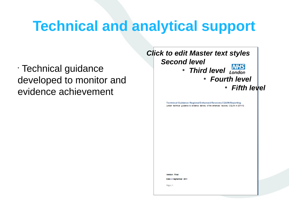## **Technical and analytical support**

• Technical guidance developed to monitor and evidence achievement

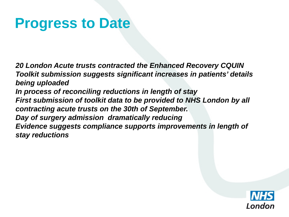## **Progress to Date**

*20 London Acute trusts contracted the Enhanced Recovery CQUIN Toolkit submission suggests significant increases in patients' details being uploaded In process of reconciling reductions in length of stay First submission of toolkit data to be provided to NHS London by all contracting acute trusts on the 30th of September. Day of surgery admission dramatically reducing Evidence suggests compliance supports improvements in length of stay reductions* 

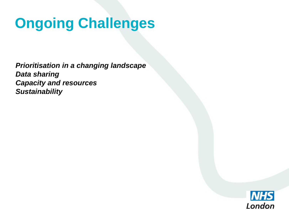## **Ongoing Challenges**

*Prioritisation in a changing landscape Data sharing Capacity and resources Sustainability*